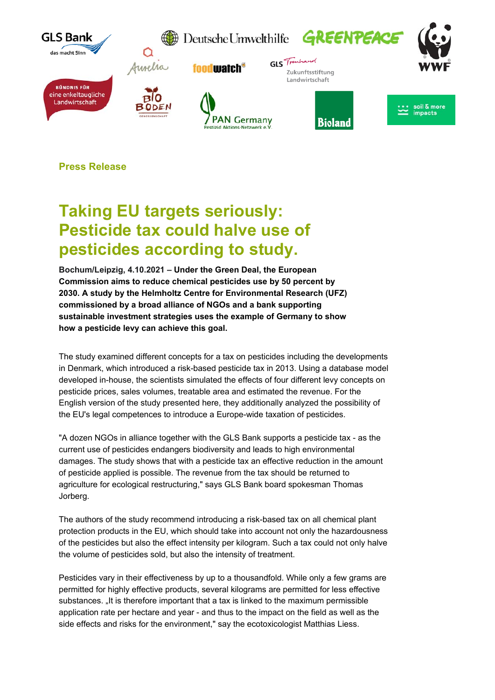

**Press Release** 

## **Taking EU targets seriously: Pesticide tax could halve use of pesticides according to study.**

**Bochum/Leipzig, 4.10.2021 – Under the Green Deal, the European Commission aims to reduce chemical pesticides use by 50 percent by 2030. A study by the Helmholtz Centre for Environmental Research (UFZ) commissioned by a broad alliance of NGOs and a bank supporting sustainable investment strategies uses the example of Germany to show how a pesticide levy can achieve this goal.** 

The study examined different concepts for a tax on pesticides including the developments in Denmark, which introduced a risk-based pesticide tax in 2013. Using a database model developed in-house, the scientists simulated the effects of four different levy concepts on pesticide prices, sales volumes, treatable area and estimated the revenue. For the English version of the study presented here, they additionally analyzed the possibility of the EU's legal competences to introduce a Europe-wide taxation of pesticides.

"A dozen NGOs in alliance together with the GLS Bank supports a pesticide tax - as the current use of pesticides endangers biodiversity and leads to high environmental damages. The study shows that with a pesticide tax an effective reduction in the amount of pesticide applied is possible. The revenue from the tax should be returned to agriculture for ecological restructuring," says GLS Bank board spokesman Thomas Jorberg.

The authors of the study recommend introducing a risk-based tax on all chemical plant protection products in the EU, which should take into account not only the hazardousness of the pesticides but also the effect intensity per kilogram. Such a tax could not only halve the volume of pesticides sold, but also the intensity of treatment.

Pesticides vary in their effectiveness by up to a thousandfold. While only a few grams are permitted for highly effective products, several kilograms are permitted for less effective substances. It is therefore important that a tax is linked to the maximum permissible application rate per hectare and year - and thus to the impact on the field as well as the side effects and risks for the environment," say the ecotoxicologist Matthias Liess.